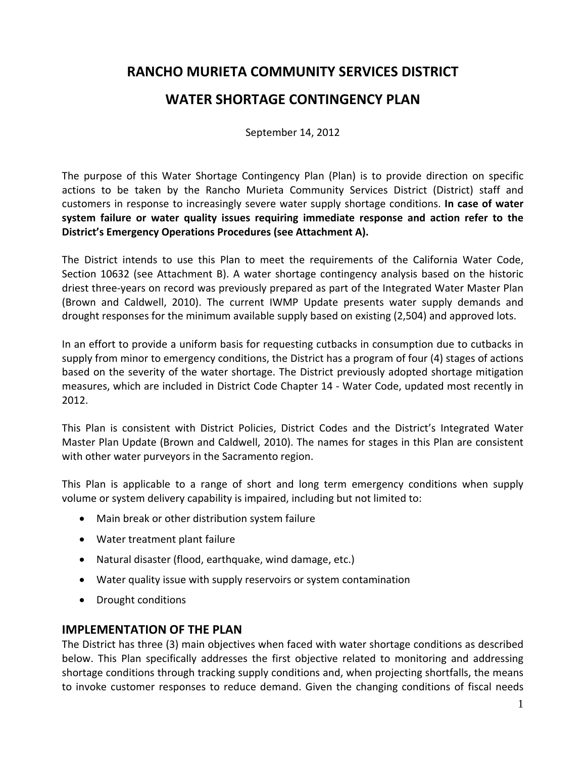# **WATER SHORTAGE CONTINGENCY PLAN**

September 14, 2012

The purpose of this Water Shortage Contingency Plan (Plan) is to provide direction on specific actions to be taken by the Rancho Murieta Community Services District (District) staff and customers in response to increasingly severe water supply shortage conditions. **In case of water system failure or water quality issues requiring immediate response and action refer to the District's Emergency Operations Procedures (see Attachment A).**

The District intends to use this Plan to meet the requirements of the California Water Code, Section 10632 (see Attachment B). A water shortage contingency analysis based on the historic driest three‐years on record was previously prepared as part of the Integrated Water Master Plan (Brown and Caldwell, 2010). The current IWMP Update presents water supply demands and drought responses for the minimum available supply based on existing (2,504) and approved lots.

In an effort to provide a uniform basis for requesting cutbacks in consumption due to cutbacks in supply from minor to emergency conditions, the District has a program of four (4) stages of actions based on the severity of the water shortage. The District previously adopted shortage mitigation measures, which are included in District Code Chapter 14 ‐ Water Code, updated most recently in 2012.

This Plan is consistent with District Policies, District Codes and the District's Integrated Water Master Plan Update (Brown and Caldwell, 2010). The names for stages in this Plan are consistent with other water purveyors in the Sacramento region.

This Plan is applicable to a range of short and long term emergency conditions when supply volume or system delivery capability is impaired, including but not limited to:

- Main break or other distribution system failure
- Water treatment plant failure
- Natural disaster (flood, earthquake, wind damage, etc.)
- Water quality issue with supply reservoirs or system contamination
- Drought conditions

### **IMPLEMENTATION OF THE PLAN**

The District has three (3) main objectives when faced with water shortage conditions as described below. This Plan specifically addresses the first objective related to monitoring and addressing shortage conditions through tracking supply conditions and, when projecting shortfalls, the means to invoke customer responses to reduce demand. Given the changing conditions of fiscal needs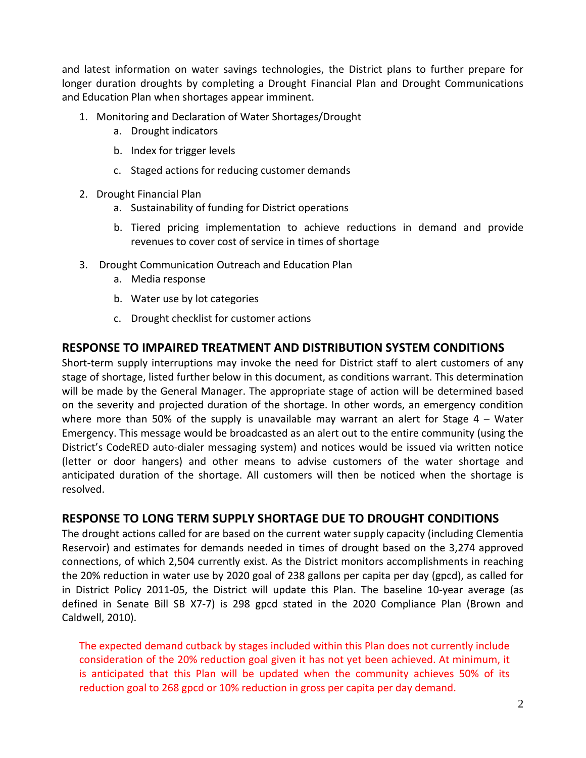and latest information on water savings technologies, the District plans to further prepare for longer duration droughts by completing a Drought Financial Plan and Drought Communications and Education Plan when shortages appear imminent.

- 1. Monitoring and Declaration of Water Shortages/Drought
	- a. Drought indicators
	- b. Index for trigger levels
	- c. Staged actions for reducing customer demands
- 2. Drought Financial Plan
	- a. Sustainability of funding for District operations
	- b. Tiered pricing implementation to achieve reductions in demand and provide revenues to cover cost of service in times of shortage
- 3. Drought Communication Outreach and Education Plan
	- a. Media response
	- b. Water use by lot categories
	- c. Drought checklist for customer actions

### **RESPONSE TO IMPAIRED TREATMENT AND DISTRIBUTION SYSTEM CONDITIONS**

Short-term supply interruptions may invoke the need for District staff to alert customers of any stage of shortage, listed further below in this document, as conditions warrant. This determination will be made by the General Manager. The appropriate stage of action will be determined based on the severity and projected duration of the shortage. In other words, an emergency condition where more than 50% of the supply is unavailable may warrant an alert for Stage 4 – Water Emergency. This message would be broadcasted as an alert out to the entire community (using the District's CodeRED auto‐dialer messaging system) and notices would be issued via written notice (letter or door hangers) and other means to advise customers of the water shortage and anticipated duration of the shortage. All customers will then be noticed when the shortage is resolved.

### **RESPONSE TO LONG TERM SUPPLY SHORTAGE DUE TO DROUGHT CONDITIONS**

The drought actions called for are based on the current water supply capacity (including Clementia Reservoir) and estimates for demands needed in times of drought based on the 3,274 approved connections, of which 2,504 currently exist. As the District monitors accomplishments in reaching the 20% reduction in water use by 2020 goal of 238 gallons per capita per day (gpcd), as called for in District Policy 2011‐05, the District will update this Plan. The baseline 10‐year average (as defined in Senate Bill SB X7‐7) is 298 gpcd stated in the 2020 Compliance Plan (Brown and Caldwell, 2010).

The expected demand cutback by stages included within this Plan does not currently include consideration of the 20% reduction goal given it has not yet been achieved. At minimum, it is anticipated that this Plan will be updated when the community achieves 50% of its reduction goal to 268 gpcd or 10% reduction in gross per capita per day demand.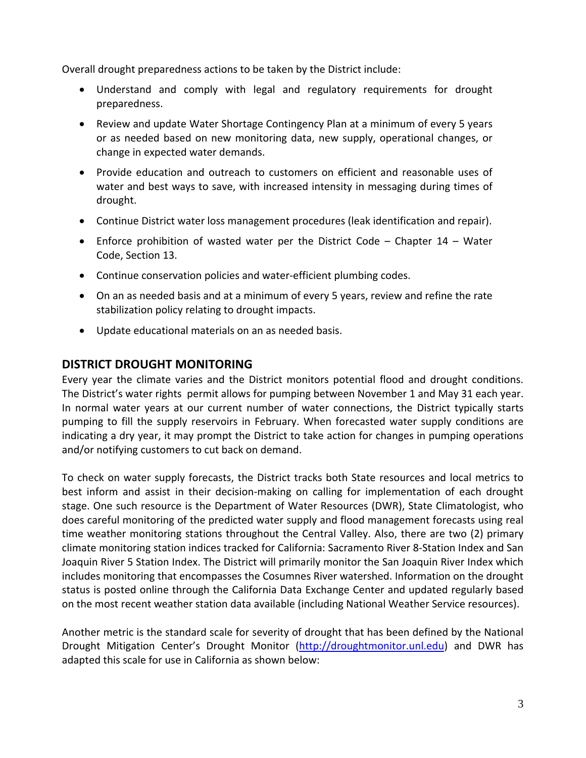Overall drought preparedness actions to be taken by the District include:

- Understand and comply with legal and regulatory requirements for drought preparedness.
- Review and update Water Shortage Contingency Plan at a minimum of every 5 years or as needed based on new monitoring data, new supply, operational changes, or change in expected water demands.
- Provide education and outreach to customers on efficient and reasonable uses of water and best ways to save, with increased intensity in messaging during times of drought.
- Continue District water loss management procedures (leak identification and repair).
- Enforce prohibition of wasted water per the District Code Chapter 14 Water Code, Section 13.
- Continue conservation policies and water-efficient plumbing codes.
- On an as needed basis and at a minimum of every 5 years, review and refine the rate stabilization policy relating to drought impacts.
- Update educational materials on an as needed basis.

### **DISTRICT DROUGHT MONITORING**

Every year the climate varies and the District monitors potential flood and drought conditions. The District's water rights permit allows for pumping between November 1 and May 31 each year. In normal water years at our current number of water connections, the District typically starts pumping to fill the supply reservoirs in February. When forecasted water supply conditions are indicating a dry year, it may prompt the District to take action for changes in pumping operations and/or notifying customers to cut back on demand.

To check on water supply forecasts, the District tracks both State resources and local metrics to best inform and assist in their decision‐making on calling for implementation of each drought stage. One such resource is the Department of Water Resources (DWR), State Climatologist, who does careful monitoring of the predicted water supply and flood management forecasts using real time weather monitoring stations throughout the Central Valley. Also, there are two (2) primary climate monitoring station indices tracked for California: Sacramento River 8‐Station Index and San Joaquin River 5 Station Index. The District will primarily monitor the San Joaquin River Index which includes monitoring that encompasses the Cosumnes River watershed. Information on the drought status is posted online through the California Data Exchange Center and updated regularly based on the most recent weather station data available (including National Weather Service resources).

Another metric is the standard scale for severity of drought that has been defined by the National Drought Mitigation Center's Drought Monitor (http://droughtmonitor.unl.edu) and DWR has adapted this scale for use in California as shown below: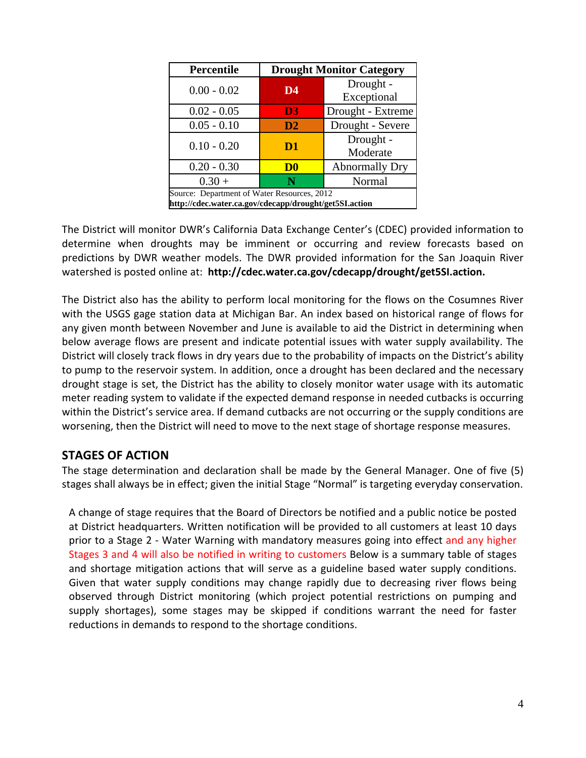| <b>Percentile</b>                                                                                     |                | <b>Drought Monitor Category</b> |
|-------------------------------------------------------------------------------------------------------|----------------|---------------------------------|
| $0.00 - 0.02$                                                                                         | D4             | Drought -<br>Exceptional        |
| $0.02 - 0.05$                                                                                         | D <sub>3</sub> | Drought - Extreme               |
| $0.05 - 0.10$                                                                                         | D2             | Drought - Severe                |
| $0.10 - 0.20$                                                                                         | D <sub>1</sub> | Drought -<br>Moderate           |
| $0.20 - 0.30$                                                                                         | D <sub>0</sub> | <b>Abnormally Dry</b>           |
| $0.30 +$                                                                                              | N              | Normal                          |
| Source: Department of Water Resources, 2012<br>http://cdec.water.ca.gov/cdecapp/drought/get5SI.action |                |                                 |

The District will monitor DWR's California Data Exchange Center's (CDEC) provided information to determine when droughts may be imminent or occurring and review forecasts based on predictions by DWR weather models. The DWR provided information for the San Joaquin River watershed is posted online at: **http://cdec.water.ca.gov/cdecapp/drought/get5SI.action.**

The District also has the ability to perform local monitoring for the flows on the Cosumnes River with the USGS gage station data at Michigan Bar. An index based on historical range of flows for any given month between November and June is available to aid the District in determining when below average flows are present and indicate potential issues with water supply availability. The District will closely track flows in dry years due to the probability of impacts on the District's ability to pump to the reservoir system. In addition, once a drought has been declared and the necessary drought stage is set, the District has the ability to closely monitor water usage with its automatic meter reading system to validate if the expected demand response in needed cutbacks is occurring within the District's service area. If demand cutbacks are not occurring or the supply conditions are worsening, then the District will need to move to the next stage of shortage response measures.

### **STAGES OF ACTION**

The stage determination and declaration shall be made by the General Manager. One of five (5) stages shall always be in effect; given the initial Stage "Normal" is targeting everyday conservation.

A change of stage requires that the Board of Directors be notified and a public notice be posted at District headquarters. Written notification will be provided to all customers at least 10 days prior to a Stage 2 ‐ Water Warning with mandatory measures going into effect and any higher Stages 3 and 4 will also be notified in writing to customers Below is a summary table of stages and shortage mitigation actions that will serve as a guideline based water supply conditions. Given that water supply conditions may change rapidly due to decreasing river flows being observed through District monitoring (which project potential restrictions on pumping and supply shortages), some stages may be skipped if conditions warrant the need for faster reductions in demands to respond to the shortage conditions.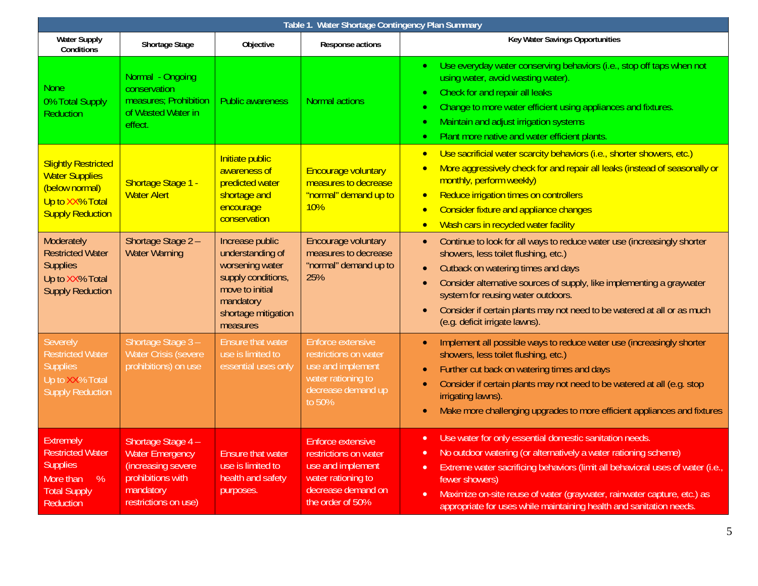| Table 1. Water Shortage Contingency Plan Summary                                                                            |                                                                                                                              |                                                                                                                                                 |                                                                                                                                        |                                                                                                                                                                                                                                                                                                                                                                                                                                      |
|-----------------------------------------------------------------------------------------------------------------------------|------------------------------------------------------------------------------------------------------------------------------|-------------------------------------------------------------------------------------------------------------------------------------------------|----------------------------------------------------------------------------------------------------------------------------------------|--------------------------------------------------------------------------------------------------------------------------------------------------------------------------------------------------------------------------------------------------------------------------------------------------------------------------------------------------------------------------------------------------------------------------------------|
| <b>Water Supply</b><br>Conditions                                                                                           | <b>Shortage Stage</b>                                                                                                        | Objective                                                                                                                                       | Response actions                                                                                                                       | Key Water Savings Opportunities                                                                                                                                                                                                                                                                                                                                                                                                      |
| <b>None</b><br>0% Total Supply<br><b>Reduction</b>                                                                          | Normal - Ongoing<br>conservation<br>measures; Prohibition<br>of Wasted Water in<br>effect.                                   | <b>Public awareness</b>                                                                                                                         | <b>Normal actions</b>                                                                                                                  | Use everyday water conserving behaviors (i.e., stop off taps when not<br>$\bullet$<br>using water, avoid wasting water).<br>Check for and repair all leaks<br>$\bullet$<br>Change to more water efficient using appliances and fixtures.<br>$\bullet$<br>Maintain and adjust irrigation systems<br>$\bullet$<br>Plant more native and water efficient plants.<br>$\bullet$                                                           |
| <b>Slightly Restricted</b><br><b>Water Supplies</b><br>(below normal)<br>Up to XX% Total<br><b>Supply Reduction</b>         | Shortage Stage 1 -<br><b>Water Alert</b>                                                                                     | Initiate public<br>awareness of<br>predicted water<br>shortage and<br>encourage<br>conservation                                                 | <b>Encourage voluntary</b><br>measures to decrease<br>"normal" demand up to<br>10%                                                     | Use sacrificial water scarcity behaviors (i.e., shorter showers, etc.)<br>$\bullet$<br>More aggressively check for and repair all leaks (instead of seasonally or<br>$\bullet$<br>monthly, perform weekly)<br>Reduce irrigation times on controllers<br>$\bullet$<br>Consider fixture and appliance changes<br>$\bullet$<br>Wash cars in recycled water facility                                                                     |
| <b>Moderately</b><br><b>Restricted Water</b><br><b>Supplies</b><br>Up to XX% Total<br><b>Supply Reduction</b>               | Shortage Stage 2 -<br><b>Water Warning</b>                                                                                   | Increase public<br>understanding of<br>worsening water<br>supply conditions,<br>move to initial<br>mandatory<br>shortage mitigation<br>measures | Encourage voluntary<br>measures to decrease<br>"normal" demand up to<br>25%                                                            | Continue to look for all ways to reduce water use (increasingly shorter<br>$\bullet$<br>showers, less toilet flushing, etc.)<br>Cutback on watering times and days<br>Consider alternative sources of supply, like implementing a graywater<br>system for reusing water outdoors.<br>Consider if certain plants may not need to be watered at all or as much<br>(e.g. deficit irrigate lawns).                                       |
| <b>Severely</b><br><b>Restricted Water</b><br><b>Supplies</b><br>Up to XX% Total<br><b>Supply Reduction</b>                 | Shortage Stage 3-<br><b>Water Crisis (severe</b><br>prohibitions) on use                                                     | <b>Ensure that water</b><br>use is limited to<br>essential uses only                                                                            | Enforce extensive<br>restrictions on water<br>use and implement<br>water rationing to<br>decrease demand up<br>to 50%                  | Implement all possible ways to reduce water use (increasingly shorter<br>$\bullet$<br>showers, less toilet flushing, etc.)<br>Further cut back on watering times and days<br>Consider if certain plants may not need to be watered at all (e.g. stop<br>irrigating lawns).<br>Make more challenging upgrades to more efficient appliances and fixtures                                                                               |
| <b>Extremely</b><br><b>Restricted Water</b><br><b>Supplies</b><br>%<br>More than<br><b>Total Supply</b><br><b>Reduction</b> | Shortage Stage 4 -<br><b>Water Emergency</b><br>(increasing severe<br>prohibitions with<br>mandatory<br>restrictions on use) | <b>Ensure that water</b><br>use is limited to<br>health and safety<br>purposes.                                                                 | <b>Enforce extensive</b><br>restrictions on water<br>use and implement<br>water rationing to<br>decrease demand on<br>the order of 50% | Use water for only essential domestic sanitation needs.<br>$\bullet$<br>No outdoor watering (or alternatively a water rationing scheme)<br>$\bullet$<br>Extreme water sacrificing behaviors (limit all behavioral uses of water (i.e.,<br>$\bullet$<br>fewer showers)<br>Maximize on-site reuse of water (graywater, rainwater capture, etc.) as<br>$\bullet$<br>appropriate for uses while maintaining health and sanitation needs. |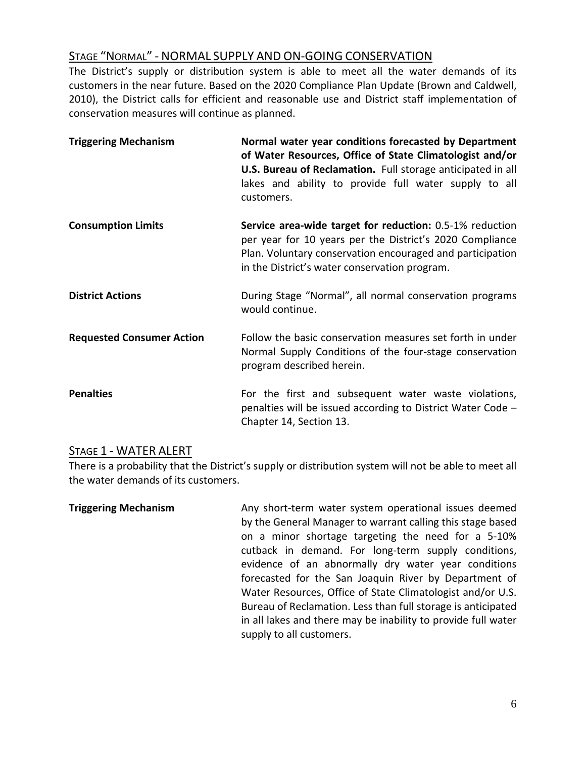# STAGE "NORMAL" ‐ NORMAL SUPPLY AND ON‐GOING CONSERVATION

The District's supply or distribution system is able to meet all the water demands of its customers in the near future. Based on the 2020 Compliance Plan Update (Brown and Caldwell, 2010), the District calls for efficient and reasonable use and District staff implementation of conservation measures will continue as planned.

| <b>Triggering Mechanism</b>      | Normal water year conditions forecasted by Department<br>of Water Resources, Office of State Climatologist and/or<br>U.S. Bureau of Reclamation. Full storage anticipated in all<br>lakes and ability to provide full water supply to all<br>customers. |
|----------------------------------|---------------------------------------------------------------------------------------------------------------------------------------------------------------------------------------------------------------------------------------------------------|
| <b>Consumption Limits</b>        | <b>Service area-wide target for reduction:</b> 0.5-1% reduction<br>per year for 10 years per the District's 2020 Compliance<br>Plan. Voluntary conservation encouraged and participation<br>in the District's water conservation program.               |
| <b>District Actions</b>          | During Stage "Normal", all normal conservation programs<br>would continue.                                                                                                                                                                              |
| <b>Requested Consumer Action</b> | Follow the basic conservation measures set forth in under<br>Normal Supply Conditions of the four-stage conservation<br>program described herein.                                                                                                       |
| <b>Penalties</b>                 | For the first and subsequent water waste violations,<br>penalties will be issued according to District Water Code -<br>Chapter 14, Section 13.                                                                                                          |

### STAGE 1 ‐ WATER ALERT

There is a probability that the District's supply or distribution system will not be able to meet all the water demands of its customers.

**Triggering Mechanism**  Any short‐term water system operational issues deemed by the General Manager to warrant calling this stage based on a minor shortage targeting the need for a 5‐10% cutback in demand. For long-term supply conditions, evidence of an abnormally dry water year conditions forecasted for the San Joaquin River by Department of Water Resources, Office of State Climatologist and/or U.S. Bureau of Reclamation. Less than full storage is anticipated in all lakes and there may be inability to provide full water supply to all customers.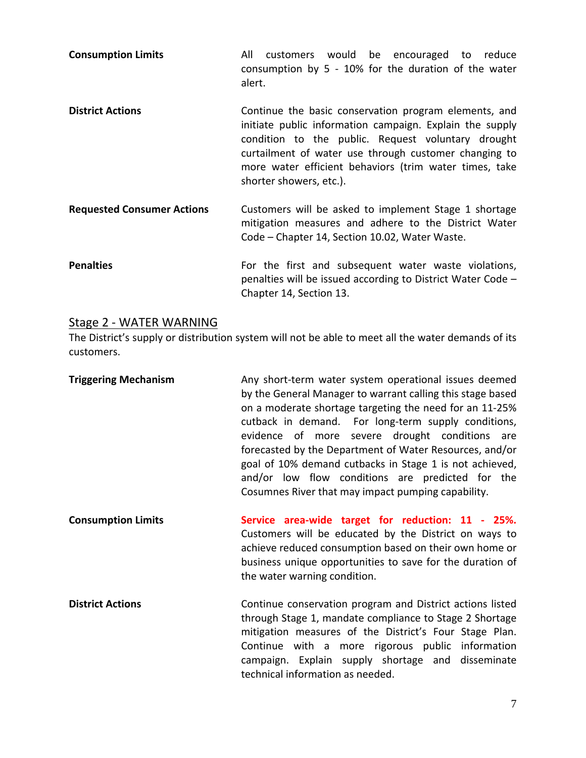**Consumption Limits All** customers would be encouraged to reduce consumption by  $5 - 10\%$  for the duration of the water alert.

- **District Actions 12.1 Continue the basic conservation program elements, and** initiate public information campaign. Explain the supply condition to the public. Request voluntary drought curtailment of water use through customer changing to more water efficient behaviors (trim water times, take shorter showers, etc.).
- **Requested Consumer Actions**  Customers will be asked to implement Stage 1 shortage mitigation measures and adhere to the District Water Code – Chapter 14, Section 10.02, Water Waste.
- **Penalties 12.1** For the first and subsequent water waste violations, penalties will be issued according to District Water Code – Chapter 14, Section 13.

### Stage 2 ‐ WATER WARNING

The District's supply or distribution system will not be able to meet all the water demands of its customers.

- **Triggering Mechanism**  Any short‐term water system operational issues deemed by the General Manager to warrant calling this stage based on a moderate shortage targeting the need for an 11‐25% cutback in demand. For long‐term supply conditions, evidence of more severe drought conditions are forecasted by the Department of Water Resources, and/or goal of 10% demand cutbacks in Stage 1 is not achieved, and/or low flow conditions are predicted for the Cosumnes River that may impact pumping capability.
- **Consumption Limits Service area‐wide target for reduction: 11 ‐ 25%.** Customers will be educated by the District on ways to achieve reduced consumption based on their own home or business unique opportunities to save for the duration of the water warning condition.
- **District Actions** Continue conservation program and District actions listed through Stage 1, mandate compliance to Stage 2 Shortage mitigation measures of the District's Four Stage Plan. Continue with a more rigorous public information campaign. Explain supply shortage and disseminate technical information as needed.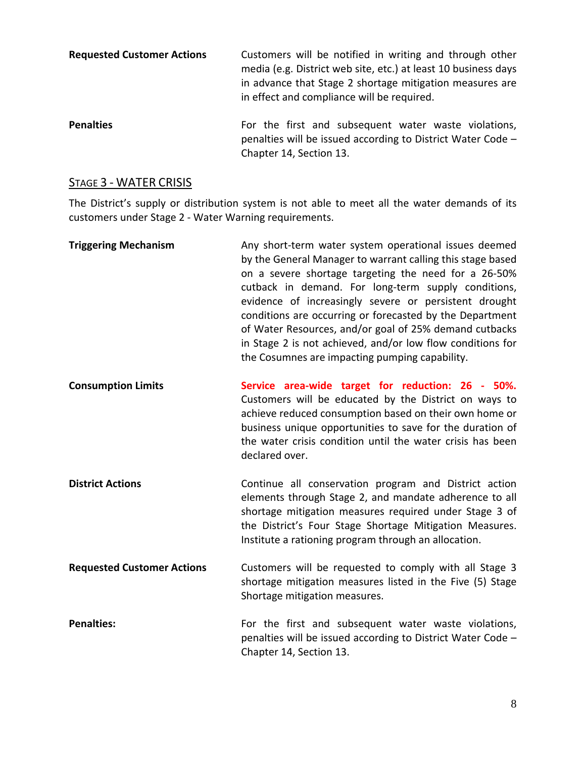| <b>Requested Customer Actions</b> | Customers will be notified in writing and through other<br>media (e.g. District web site, etc.) at least 10 business days<br>in advance that Stage 2 shortage mitigation measures are<br>in effect and compliance will be required. |
|-----------------------------------|-------------------------------------------------------------------------------------------------------------------------------------------------------------------------------------------------------------------------------------|
| <b>Penalties</b>                  | For the first and subsequent water waste violations,<br>penalties will be issued according to District Water Code -                                                                                                                 |

### STAGE 3 - WATER CRISIS

The District's supply or distribution system is not able to meet all the water demands of its customers under Stage 2 ‐ Water Warning requirements.

Chapter 14, Section 13.

| <b>Triggering Mechanism</b>       | Any short-term water system operational issues deemed<br>by the General Manager to warrant calling this stage based<br>on a severe shortage targeting the need for a 26-50%<br>cutback in demand. For long-term supply conditions,<br>evidence of increasingly severe or persistent drought<br>conditions are occurring or forecasted by the Department<br>of Water Resources, and/or goal of 25% demand cutbacks<br>in Stage 2 is not achieved, and/or low flow conditions for<br>the Cosumnes are impacting pumping capability. |
|-----------------------------------|-----------------------------------------------------------------------------------------------------------------------------------------------------------------------------------------------------------------------------------------------------------------------------------------------------------------------------------------------------------------------------------------------------------------------------------------------------------------------------------------------------------------------------------|
| <b>Consumption Limits</b>         | Service area-wide target for reduction: 26 - 50%.<br>Customers will be educated by the District on ways to<br>achieve reduced consumption based on their own home or<br>business unique opportunities to save for the duration of<br>the water crisis condition until the water crisis has been<br>declared over.                                                                                                                                                                                                                 |
| <b>District Actions</b>           | Continue all conservation program and District action<br>elements through Stage 2, and mandate adherence to all<br>shortage mitigation measures required under Stage 3 of<br>the District's Four Stage Shortage Mitigation Measures.<br>Institute a rationing program through an allocation.                                                                                                                                                                                                                                      |
| <b>Requested Customer Actions</b> | Customers will be requested to comply with all Stage 3<br>shortage mitigation measures listed in the Five (5) Stage<br>Shortage mitigation measures.                                                                                                                                                                                                                                                                                                                                                                              |
| <b>Penalties:</b>                 | For the first and subsequent water waste violations,<br>penalties will be issued according to District Water Code -<br>Chapter 14, Section 13.                                                                                                                                                                                                                                                                                                                                                                                    |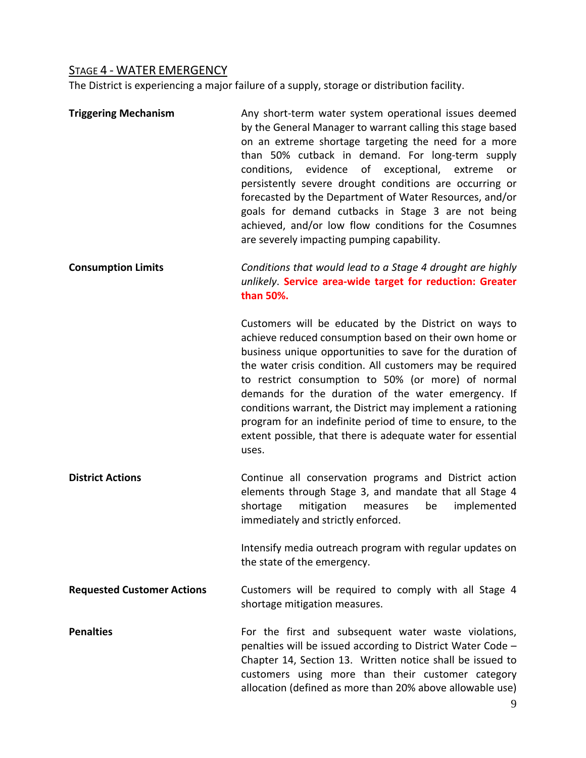# STAGE 4 - WATER EMERGENCY

The District is experiencing a major failure of a supply, storage or distribution facility.

| <b>Triggering Mechanism</b>       | Any short-term water system operational issues deemed<br>by the General Manager to warrant calling this stage based<br>on an extreme shortage targeting the need for a more<br>than 50% cutback in demand. For long-term supply<br>evidence<br>conditions,<br>of exceptional, extreme<br>or<br>persistently severe drought conditions are occurring or<br>forecasted by the Department of Water Resources, and/or<br>goals for demand cutbacks in Stage 3 are not being<br>achieved, and/or low flow conditions for the Cosumnes<br>are severely impacting pumping capability. |
|-----------------------------------|--------------------------------------------------------------------------------------------------------------------------------------------------------------------------------------------------------------------------------------------------------------------------------------------------------------------------------------------------------------------------------------------------------------------------------------------------------------------------------------------------------------------------------------------------------------------------------|
| <b>Consumption Limits</b>         | Conditions that would lead to a Stage 4 drought are highly<br>unlikely. Service area-wide target for reduction: Greater<br>than 50%.                                                                                                                                                                                                                                                                                                                                                                                                                                           |
|                                   | Customers will be educated by the District on ways to<br>achieve reduced consumption based on their own home or<br>business unique opportunities to save for the duration of<br>the water crisis condition. All customers may be required<br>to restrict consumption to 50% (or more) of normal<br>demands for the duration of the water emergency. If<br>conditions warrant, the District may implement a rationing<br>program for an indefinite period of time to ensure, to the<br>extent possible, that there is adequate water for essential<br>uses.                     |
| <b>District Actions</b>           | Continue all conservation programs and District action<br>elements through Stage 3, and mandate that all Stage 4<br>shortage<br>mitigation<br>implemented<br>measures<br>be<br>immediately and strictly enforced.                                                                                                                                                                                                                                                                                                                                                              |
|                                   | Intensify media outreach program with regular updates on<br>the state of the emergency.                                                                                                                                                                                                                                                                                                                                                                                                                                                                                        |
| <b>Requested Customer Actions</b> | Customers will be required to comply with all Stage 4<br>shortage mitigation measures.                                                                                                                                                                                                                                                                                                                                                                                                                                                                                         |
| <b>Penalties</b>                  | For the first and subsequent water waste violations,<br>penalties will be issued according to District Water Code -<br>Chapter 14, Section 13. Written notice shall be issued to<br>customers using more than their customer category<br>allocation (defined as more than 20% above allowable use)                                                                                                                                                                                                                                                                             |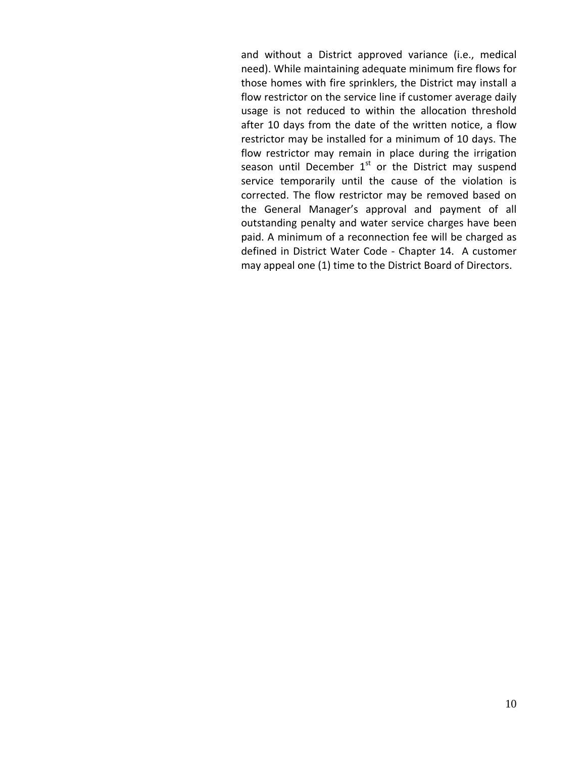and without a District approved variance (i.e., medical need). While maintaining adequate minimum fire flows for those homes with fire sprinklers, the District may install a flow restrictor on the service line if customer average daily usage is not reduced to within the allocation threshold after 10 days from the date of the written notice, a flow restrictor may be installed for a minimum of 10 days. The flow restrictor may remain in place during the irrigation season until December  $1<sup>st</sup>$  or the District may suspend service temporarily until the cause of the violation is corrected. The flow restrictor may be removed based on the General Manager's approval and payment of all outstanding penalty and water service charges have been paid. A minimum of a reconnection fee will be charged as defined in District Water Code ‐ Chapter 14. A customer may appeal one (1) time to the District Board of Directors.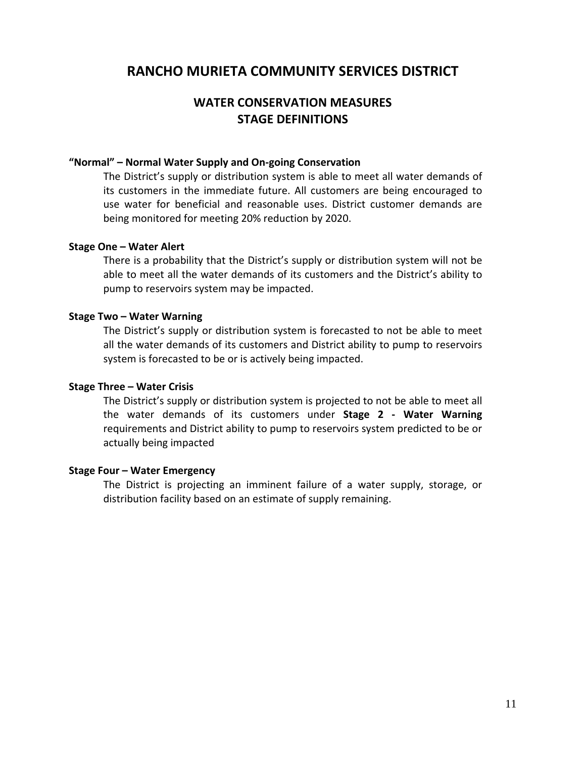## **WATER CONSERVATION MEASURES STAGE DEFINITIONS**

#### **"Normal" – Normal Water Supply and On‐going Conservation**

The District's supply or distribution system is able to meet all water demands of its customers in the immediate future. All customers are being encouraged to use water for beneficial and reasonable uses. District customer demands are being monitored for meeting 20% reduction by 2020.

#### **Stage One – Water Alert**

There is a probability that the District's supply or distribution system will not be able to meet all the water demands of its customers and the District's ability to pump to reservoirs system may be impacted.

#### **Stage Two – Water Warning**

The District's supply or distribution system is forecasted to not be able to meet all the water demands of its customers and District ability to pump to reservoirs system is forecasted to be or is actively being impacted.

#### **Stage Three – Water Crisis**

The District's supply or distribution system is projected to not be able to meet all the water demands of its customers under **Stage 2 ‐ Water Warning** requirements and District ability to pump to reservoirs system predicted to be or actually being impacted

#### **Stage Four – Water Emergency**

The District is projecting an imminent failure of a water supply, storage, or distribution facility based on an estimate of supply remaining.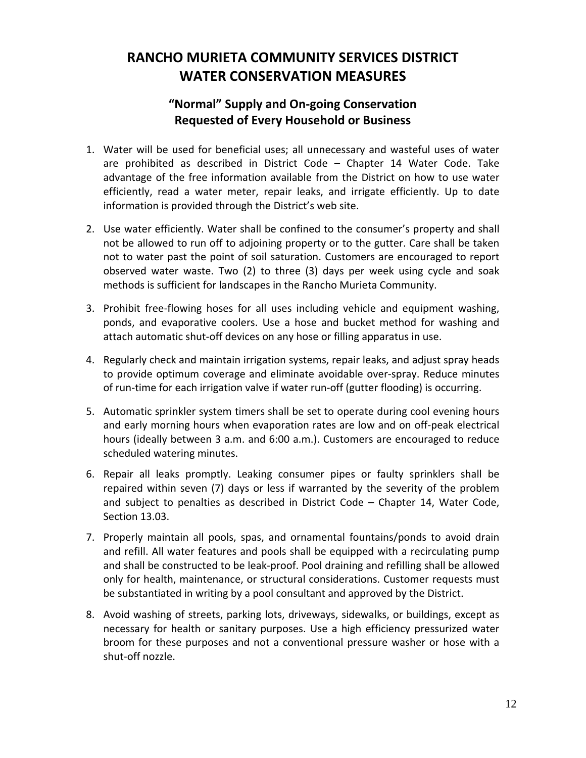# **RANCHO MURIETA COMMUNITY SERVICES DISTRICT WATER CONSERVATION MEASURES**

# **"Normal" Supply and On‐going Conservation Requested of Every Household or Business**

- 1. Water will be used for beneficial uses; all unnecessary and wasteful uses of water are prohibited as described in District Code – Chapter 14 Water Code. Take advantage of the free information available from the District on how to use water efficiently, read a water meter, repair leaks, and irrigate efficiently. Up to date information is provided through the District's web site.
- 2. Use water efficiently. Water shall be confined to the consumer's property and shall not be allowed to run off to adjoining property or to the gutter. Care shall be taken not to water past the point of soil saturation. Customers are encouraged to report observed water waste. Two (2) to three (3) days per week using cycle and soak methods is sufficient for landscapes in the Rancho Murieta Community.
- 3. Prohibit free‐flowing hoses for all uses including vehicle and equipment washing, ponds, and evaporative coolers. Use a hose and bucket method for washing and attach automatic shut‐off devices on any hose or filling apparatus in use.
- 4. Regularly check and maintain irrigation systems, repair leaks, and adjust spray heads to provide optimum coverage and eliminate avoidable over‐spray. Reduce minutes of run‐time for each irrigation valve if water run‐off (gutter flooding) is occurring.
- 5. Automatic sprinkler system timers shall be set to operate during cool evening hours and early morning hours when evaporation rates are low and on off‐peak electrical hours (ideally between 3 a.m. and 6:00 a.m.). Customers are encouraged to reduce scheduled watering minutes.
- 6. Repair all leaks promptly. Leaking consumer pipes or faulty sprinklers shall be repaired within seven (7) days or less if warranted by the severity of the problem and subject to penalties as described in District Code – Chapter 14, Water Code, Section 13.03.
- 7. Properly maintain all pools, spas, and ornamental fountains/ponds to avoid drain and refill. All water features and pools shall be equipped with a recirculating pump and shall be constructed to be leak‐proof. Pool draining and refilling shall be allowed only for health, maintenance, or structural considerations. Customer requests must be substantiated in writing by a pool consultant and approved by the District.
- 8. Avoid washing of streets, parking lots, driveways, sidewalks, or buildings, except as necessary for health or sanitary purposes. Use a high efficiency pressurized water broom for these purposes and not a conventional pressure washer or hose with a shut‐off nozzle.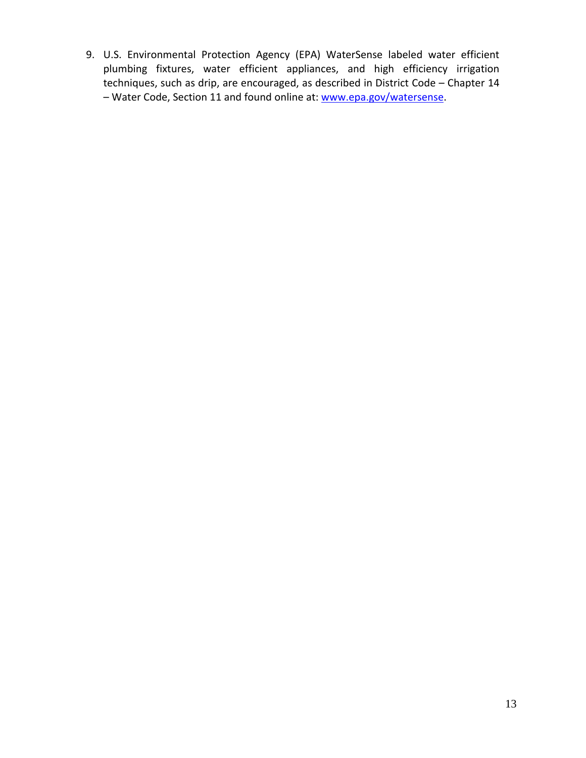9. U.S. Environmental Protection Agency (EPA) WaterSense labeled water efficient plumbing fixtures, water efficient appliances, and high efficiency irrigation techniques, such as drip, are encouraged, as described in District Code – Chapter 14 – Water Code, Section 11 and found online at: www.epa.gov/watersense.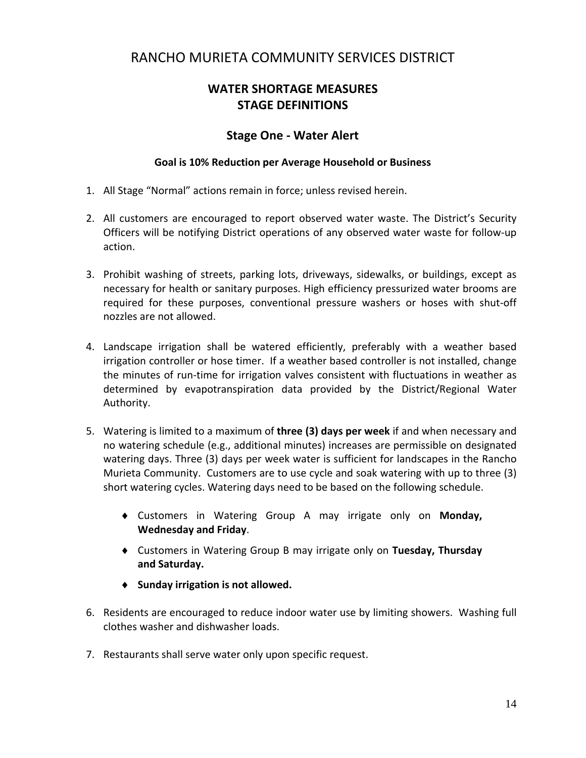# **WATER SHORTAGE MEASURES STAGE DEFINITIONS**

### **Stage One ‐ Water Alert**

#### **Goal is 10% Reduction per Average Household or Business**

- 1. All Stage "Normal" actions remain in force; unless revised herein.
- 2. All customers are encouraged to report observed water waste. The District's Security Officers will be notifying District operations of any observed water waste for follow‐up action.
- 3. Prohibit washing of streets, parking lots, driveways, sidewalks, or buildings, except as necessary for health or sanitary purposes. High efficiency pressurized water brooms are required for these purposes, conventional pressure washers or hoses with shut‐off nozzles are not allowed.
- 4. Landscape irrigation shall be watered efficiently, preferably with a weather based irrigation controller or hose timer. If a weather based controller is not installed, change the minutes of run-time for irrigation valves consistent with fluctuations in weather as determined by evapotranspiration data provided by the District/Regional Water Authority.
- 5. Watering is limited to a maximum of **three (3) days per week** if and when necessary and no watering schedule (e.g., additional minutes) increases are permissible on designated watering days. Three (3) days per week water is sufficient for landscapes in the Rancho Murieta Community. Customers are to use cycle and soak watering with up to three (3) short watering cycles. Watering days need to be based on the following schedule.
	- Customers in Watering Group A may irrigate only on **Monday, Wednesday and Friday**.
	- Customers in Watering Group B may irrigate only on **Tuesday, Thursday and Saturday.**
	- **Sunday irrigation is not allowed.**
- 6. Residents are encouraged to reduce indoor water use by limiting showers. Washing full clothes washer and dishwasher loads.
- 7. Restaurants shall serve water only upon specific request.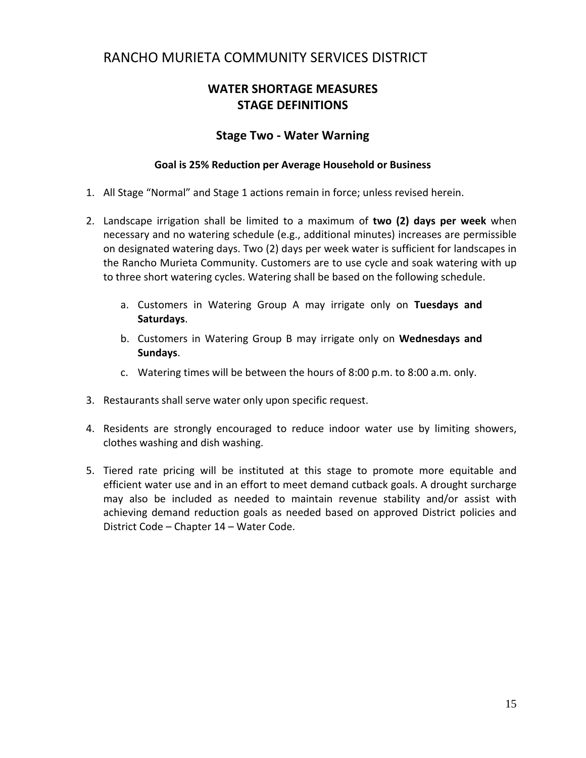## **WATER SHORTAGE MEASURES STAGE DEFINITIONS**

### **Stage Two ‐ Water Warning**

#### **Goal is 25% Reduction per Average Household or Business**

- 1. All Stage "Normal" and Stage 1 actions remain in force; unless revised herein.
- 2. Landscape irrigation shall be limited to a maximum of **two (2) days per week** when necessary and no watering schedule (e.g., additional minutes) increases are permissible on designated watering days. Two (2) days per week water is sufficient for landscapes in the Rancho Murieta Community. Customers are to use cycle and soak watering with up to three short watering cycles. Watering shall be based on the following schedule.
	- a. Customers in Watering Group A may irrigate only on **Tuesdays and Saturdays**.
	- b. Customers in Watering Group B may irrigate only on **Wednesdays and Sundays**.
	- c. Watering times will be between the hours of 8:00 p.m. to 8:00 a.m. only.
- 3. Restaurants shall serve water only upon specific request.
- 4. Residents are strongly encouraged to reduce indoor water use by limiting showers, clothes washing and dish washing.
- 5. Tiered rate pricing will be instituted at this stage to promote more equitable and efficient water use and in an effort to meet demand cutback goals. A drought surcharge may also be included as needed to maintain revenue stability and/or assist with achieving demand reduction goals as needed based on approved District policies and District Code – Chapter 14 – Water Code.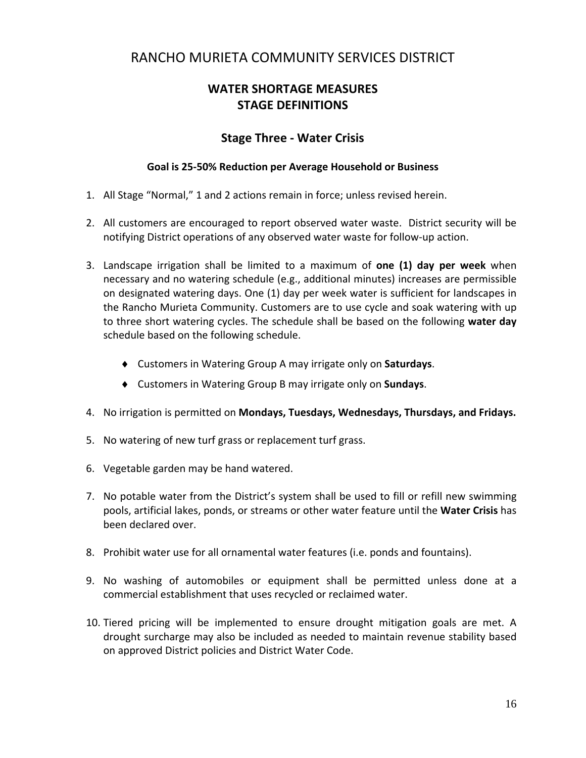# **WATER SHORTAGE MEASURES STAGE DEFINITIONS**

### **Stage Three ‐ Water Crisis**

#### **Goal is 25‐50% Reduction per Average Household or Business**

- 1. All Stage "Normal," 1 and 2 actions remain in force; unless revised herein.
- 2. All customers are encouraged to report observed water waste. District security will be notifying District operations of any observed water waste for follow‐up action.
- 3. Landscape irrigation shall be limited to a maximum of **one (1) day per week** when necessary and no watering schedule (e.g., additional minutes) increases are permissible on designated watering days. One (1) day per week water is sufficient for landscapes in the Rancho Murieta Community. Customers are to use cycle and soak watering with up to three short watering cycles. The schedule shall be based on the following **water day** schedule based on the following schedule.
	- Customers in Watering Group A may irrigate only on **Saturdays**.
	- Customers in Watering Group B may irrigate only on **Sundays**.
- 4. No irrigation is permitted on **Mondays, Tuesdays, Wednesdays, Thursdays, and Fridays.**
- 5. No watering of new turf grass or replacement turf grass.
- 6. Vegetable garden may be hand watered.
- 7. No potable water from the District's system shall be used to fill or refill new swimming pools, artificial lakes, ponds, or streams or other water feature until the **Water Crisis** has been declared over.
- 8. Prohibit water use for all ornamental water features (i.e. ponds and fountains).
- 9. No washing of automobiles or equipment shall be permitted unless done at a commercial establishment that uses recycled or reclaimed water.
- 10. Tiered pricing will be implemented to ensure drought mitigation goals are met. A drought surcharge may also be included as needed to maintain revenue stability based on approved District policies and District Water Code.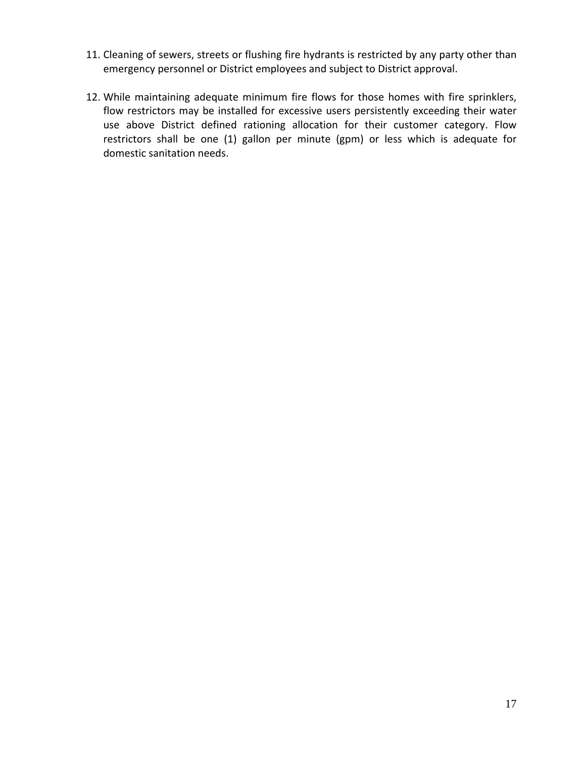- 11. Cleaning of sewers, streets or flushing fire hydrants is restricted by any party other than emergency personnel or District employees and subject to District approval.
- 12. While maintaining adequate minimum fire flows for those homes with fire sprinklers, flow restrictors may be installed for excessive users persistently exceeding their water use above District defined rationing allocation for their customer category. Flow restrictors shall be one (1) gallon per minute (gpm) or less which is adequate for domestic sanitation needs.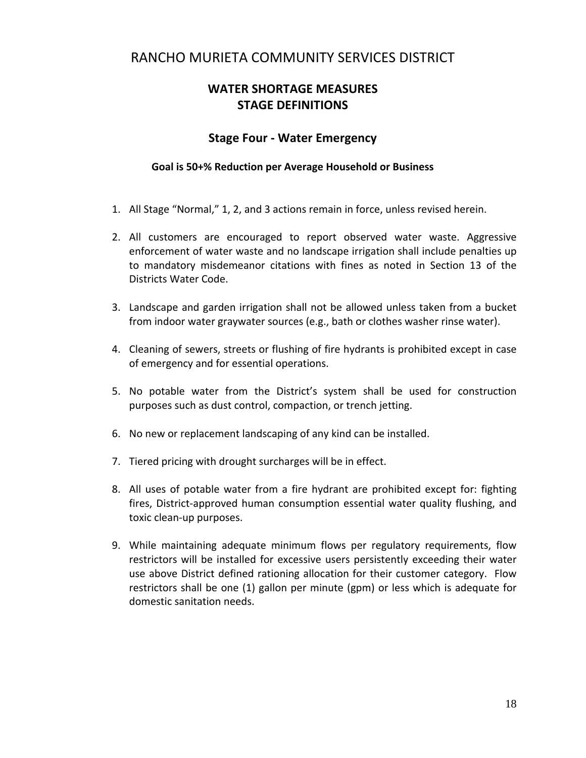## **WATER SHORTAGE MEASURES STAGE DEFINITIONS**

### **Stage Four ‐ Water Emergency**

#### **Goal is 50+% Reduction per Average Household or Business**

- 1. All Stage "Normal," 1, 2, and 3 actions remain in force, unless revised herein.
- 2. All customers are encouraged to report observed water waste. Aggressive enforcement of water waste and no landscape irrigation shall include penalties up to mandatory misdemeanor citations with fines as noted in Section 13 of the Districts Water Code.
- 3. Landscape and garden irrigation shall not be allowed unless taken from a bucket from indoor water graywater sources (e.g., bath or clothes washer rinse water).
- 4. Cleaning of sewers, streets or flushing of fire hydrants is prohibited except in case of emergency and for essential operations.
- 5. No potable water from the District's system shall be used for construction purposes such as dust control, compaction, or trench jetting.
- 6. No new or replacement landscaping of any kind can be installed.
- 7. Tiered pricing with drought surcharges will be in effect.
- 8. All uses of potable water from a fire hydrant are prohibited except for: fighting fires, District-approved human consumption essential water quality flushing, and toxic clean‐up purposes.
- 9. While maintaining adequate minimum flows per regulatory requirements, flow restrictors will be installed for excessive users persistently exceeding their water use above District defined rationing allocation for their customer category. Flow restrictors shall be one (1) gallon per minute (gpm) or less which is adequate for domestic sanitation needs.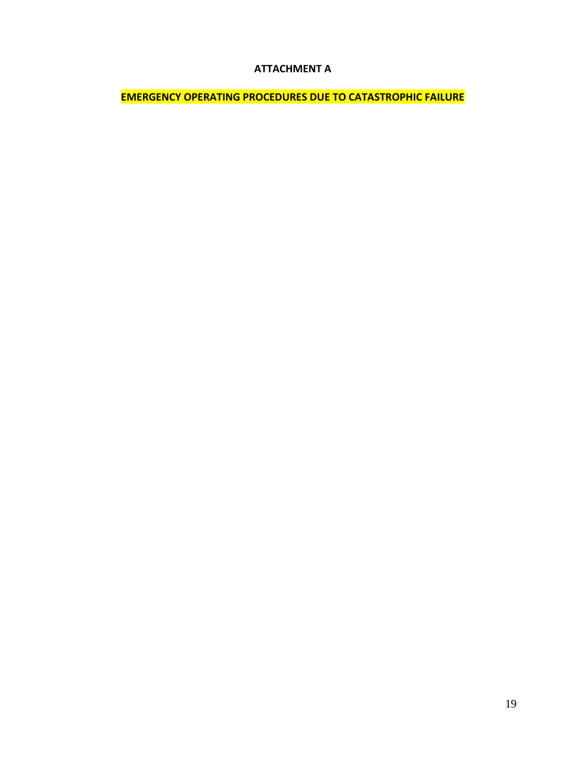#### **ATTACHMENT A**

**EMERGENCY OPERATING PROCEDURES DUE TO CATASTROPHIC FAILURE**